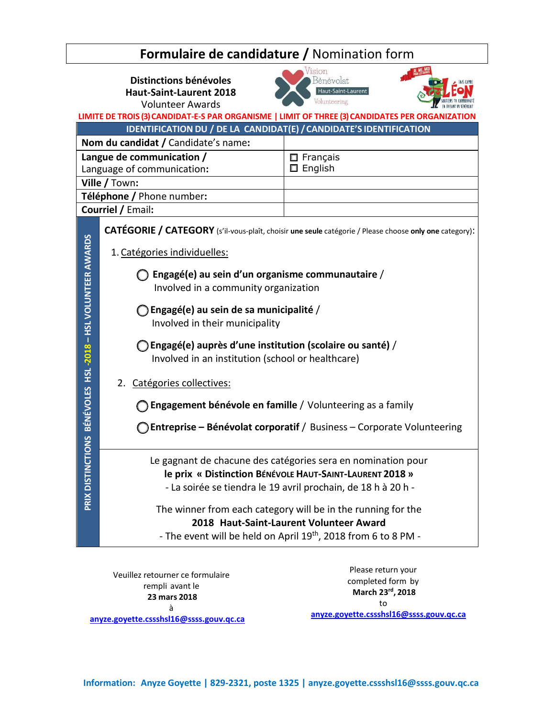| <b>Formulaire de candidature / Nomination form</b>                 |                                                                                                                                                                                                |                                                 |  |  |
|--------------------------------------------------------------------|------------------------------------------------------------------------------------------------------------------------------------------------------------------------------------------------|-------------------------------------------------|--|--|
|                                                                    | Vision<br>Distinctions bénévoles<br><b>Haut-Saint-Laurent 2018</b><br><b>Volunteer Awards</b><br>LIMITE DE TROIS (3) CANDIDAT-E-S PAR ORGANISME   LIMIT OF THREE (3) CANDIDATES PER ORGANIZATI | Bénévolat<br>Haut-Saint-Laurent<br>Volunteering |  |  |
| IDENTIFICATION DU / DE LA CANDIDAT(E) / CANDIDATE'S IDENTIFICATION |                                                                                                                                                                                                |                                                 |  |  |
| Nom du candidat / Candidate's name:                                |                                                                                                                                                                                                |                                                 |  |  |
|                                                                    | Langue de communication /<br>$\Box$ Français<br>English<br>□<br>Language of communication:                                                                                                     |                                                 |  |  |
| Ville / Town:<br>Téléphone / Phone number:                         |                                                                                                                                                                                                |                                                 |  |  |
|                                                                    | <b>Courriel / Email:</b>                                                                                                                                                                       |                                                 |  |  |
|                                                                    | CATÉGORIE / CATEGORY (s'il-vous-plaît, choisir une seule catégorie / Please choose only one category):                                                                                         |                                                 |  |  |
|                                                                    | 1. Catégories individuelles:                                                                                                                                                                   |                                                 |  |  |
| ONS BÉNÉVOLES HSL -2018 - HSL VOLUNTEER AWARDS                     | ◯ Engagé(e) au sein d'un organisme communautaire /<br>Involved in a community organization                                                                                                     |                                                 |  |  |
|                                                                    | $\bigcirc$ Engagé(e) au sein de sa municipalité /<br>Involved in their municipality                                                                                                            |                                                 |  |  |
|                                                                    | ) Engagé(e) auprès d'une institution (scolaire ou santé) /<br>Involved in an institution (school or healthcare)                                                                                |                                                 |  |  |
|                                                                    | 2. Catégories collectives:                                                                                                                                                                     |                                                 |  |  |
|                                                                    | Engagement bénévole en famille / Volunteering as a family                                                                                                                                      |                                                 |  |  |
|                                                                    | Entreprise - Bénévolat corporatif / Business - Corporate Volunteering                                                                                                                          |                                                 |  |  |
| PRIX DISTINCTI                                                     | Le gagnant de chacune des catégories sera en nomination pour<br>le prix « Distinction BÉNÉVOLE HAUT-SAINT-LAURENT 2018 »<br>- La soirée se tiendra le 19 avril prochain, de 18 h à 20 h -      |                                                 |  |  |
|                                                                    | The winner from each category will be in the running for the<br>2018 Haut-Saint-Laurent Volunteer Award<br>- The event will be held on April 19 <sup>th</sup> , 2018 from 6 to 8 PM -          |                                                 |  |  |

Veuillez retourner ce formulaire rempli avant le **23 mars 2018** à **anyze.goyette.cssshsl16@ssss.gouv.qc.ca**

Please return your completed form by **March 23rd, 2018** to **anyze.goyette.cssshsl16@ssss.gouv.qc.ca**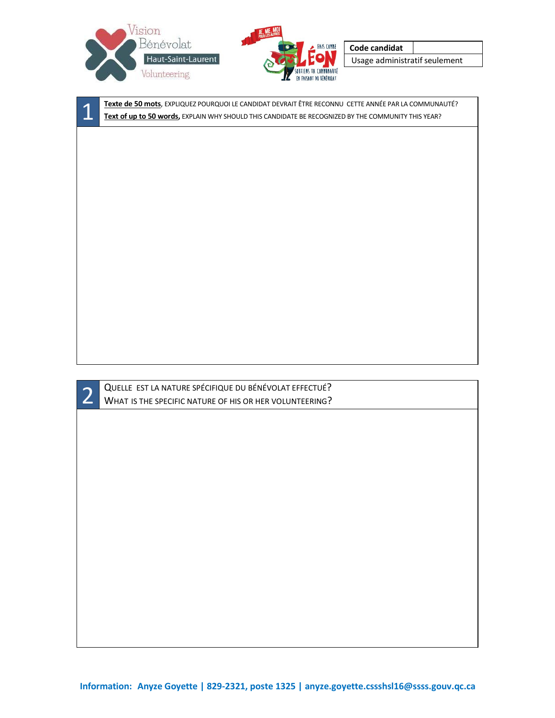



**Code candidat**

Usage administratif seulement

**1 Exte de 50 mots**, EXPLIQUEZ POURQUOI LE CANDIDAT DEVRAIT ÊTRE RECONNU CETTE ANNÉE PAR LA COMMUNAUTÉ?<br>Text of up to 50 words, EXPLAIN WHY SHOULD THIS CANDIDATE BE RECOGNIZED BY THE COMMUNITY THIS YEAR?

**2** QUELLE EST LA NATURE SPÉCIFIQUE DU BÉNÉVOLAT EFFECTUÉ?<br>WHAT IS THE SPECIFIC NATURE OF HIS OR HER VOLUNTEERING?

**Information: Anyze Goyette | 829-2321, poste 1325 | [anyze.goyette.cssshsl16@ssss.gouv.qc.ca](mailto:anyze.goyette.cssshsl16@ssss.gouv.qc.ca)**